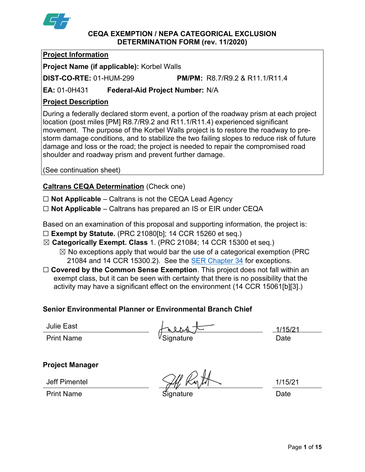

#### CEQA EXEMPTION / NEPA CATEGORICAL EXCLUSION DETERMINATION FORM (rev. 11/2020)

### Project Information

Project Name (if applicable): Korbel Walls

DIST-CO-RTE: 01-HUM-299 PM/PM: R8.7/R9.2 & R11.1/R11.4

 $EA: 01-0H431$ Federal-Aid Project Number: N/A

## Project Description

 During a federally declared storm event, a portion of the roadway prism at each project location (post miles [PM] R8.7/R9.2 and R11.1/R11.4) experienced significant movement. The purpose of the Korbel Walls project is to restore the roadway to pre- damage and loss or the road; the project is needed to repair the compromised road shoulder and roadway prism and prevent further damage. storm damage conditions, and to stabilize the two failing slopes to reduce risk of future

(See continuation sheet)

## **Caltrans CEQA Determination (Check one)**

□ Not Applicable – Caltrans is not the CEQA Lead Agency

 $\Box$  Not Applicable – Caltrans has prepared an IS or EIR under CEQA

Based on an examination of this proposal and supporting information, the project is:

- $\square$  Exempt by Statute. (PRC 21080[b]; 14 CCR 15260 et seq.)
- ☒ Categorically Exempt. Class 1. (PRC 21084; 14 CCR 15300 et seq.)  $\boxtimes$  No exceptions apply that would bar the use of a categorical exemption (PRC 21084 and 14 CCR 15300.2). See the <u>SER Chapter 34</u> for exceptions.
- $\Box$  Covered by the Common Sense Exemption. This project does not fall within an exempt class, but it can be seen with certainty that there is no possibility that the activity may have a significant effect on the environment (14 CCR 15061[b][3].)

## Senior Environmental Planner or Environmental Branch Chief

Julie East

Print Name <sup>V</sup>Signature Date

1/15/21

### Project Manager

Print Name Signature Date

Jeff Pimentel

1/15/21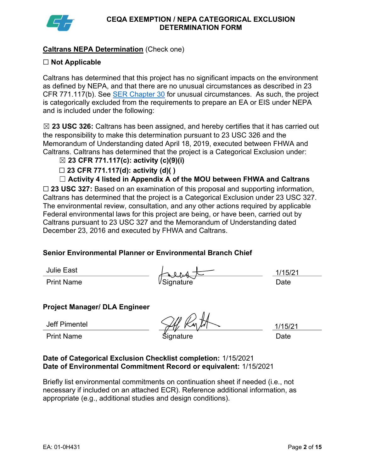

#### Caltrans NEPA Determination (Check one)

#### $\Box$  Not Applicable

 Caltrans has determined that this project has no significant impacts on the environment as defined by NEPA, and that there are no unusual circumstances as described in 23 CFR 771.117(b). See **SER Chapter 30** for unusual circumstances. As such, the project is categorically excluded from the requirements to prepare an EA or EIS under NEPA and is included under the following:

 $\boxtimes$  23 USC 326: Caltrans has been assigned, and hereby certifies that it has carried out the responsibility to make this determination pursuant to 23 USC 326 and the Memorandum of Understanding dated April 18, 2019, executed between FHWA and Caltrans. Caltrans has determined that the project is a Categorical Exclusion under:

- $\boxtimes$  23 CFR 771.117(c): activity (c)(9)(i)
- $\Box$  23 CFR 771.117(d): activity (d)( )
- ☐ Activity 4 listed in Appendix A of the MOU between FHWA and Caltrans

 $\Box$  23 USC 327: Based on an examination of this proposal and supporting information, Caltrans has determined that the project is a Categorical Exclusion under 23 USC 327. The environmental review, consultation, and any other actions required by applicable Federal environmental laws for this project are being, or have been, carried out by Caltrans pursuant to 23 USC 327 and the Memorandum of Understanding dated December 23, 2016 and executed by FHWA and Caltrans.

#### Senior Environmental Planner or Environmental Branch Chief

Julie East

| Julie East        | $\mathsf{A}$ | /15/ |
|-------------------|--------------|------|
| <b>Print Name</b> | VSignature   | Date |

1/15/21

#### Project Manager/ DLA Engineer

Jeff Pimentel

Print Name \$ignature Date

1/15/21

#### Date of Categorical Exclusion Checklist completion: 1/15/2021 Date of Environmental Commitment Record or equivalent: 1/15/2021

 Briefly list environmental commitments on continuation sheet if needed (i.e., not necessary if included on an attached ECR). Reference additional information, as appropriate (e.g., additional studies and design conditions).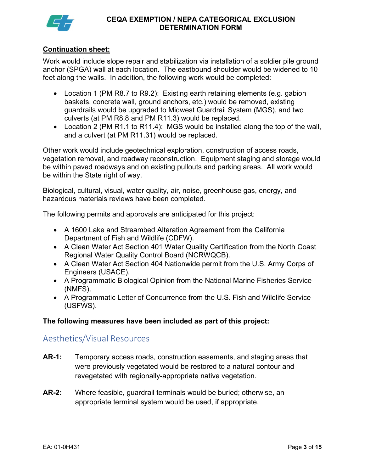

#### Continuation sheet:

 Work would include slope repair and stabilization via installation of a soldier pile ground anchor (SPGA) wall at each location. The eastbound shoulder would be widened to 10 feet along the walls. In addition, the following work would be completed:

- Location 1 (PM R8.7 to R9.2): Existing earth retaining elements (e.g. gabion baskets, concrete wall, ground anchors, etc.) would be removed, existing guardrails would be upgraded to Midwest Guardrail System (MGS), and two culverts (at PM R8.8 and PM R11.3) would be replaced.
- Location 2 (PM R1.1 to R11.4): MGS would be installed along the top of the wall, and a culvert (at PM R11.31) would be replaced.

 Other work would include geotechnical exploration, construction of access roads, vegetation removal, and roadway reconstruction. Equipment staging and storage would be within paved roadways and on existing pullouts and parking areas. All work would be within the State right of way.

 Biological, cultural, visual, water quality, air, noise, greenhouse gas, energy, and hazardous materials reviews have been completed.

The following permits and approvals are anticipated for this project:

- A 1600 Lake and Streambed Alteration Agreement from the California Department of Fish and Wildlife (CDFW).
- A Clean Water Act Section 401 Water Quality Certification from the North Coast Regional Water Quality Control Board (NCRWQCB).
- A Clean Water Act Section 404 Nationwide permit from the U.S. Army Corps of Engineers (USACE).
- A Programmatic Biological Opinion from the National Marine Fisheries Service (NMFS).
- A Programmatic Letter of Concurrence from the U.S. Fish and Wildlife Service (USFWS).

#### The following measures have been included as part of this project:

### Aesthetics/Visual Resources

- AR-1: Temporary access roads, construction easements, and staging areas that were previously vegetated would be restored to a natural contour and revegetated with regionally-appropriate native vegetation.
- AR-2: Where feasible, guardrail terminals would be buried; otherwise, an appropriate terminal system would be used, if appropriate.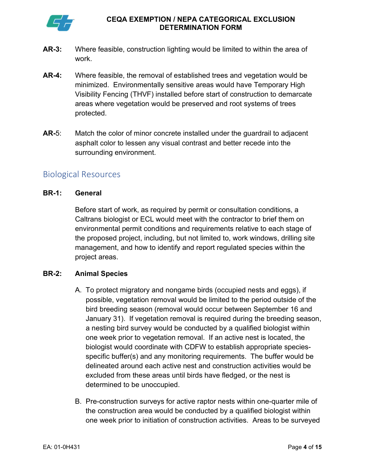

- AR-3: Where feasible, construction lighting would be limited to within the area of work.
- AR-4: Where feasible, the removal of established trees and vegetation would be minimized. Environmentally sensitive areas would have Temporary High Visibility Fencing (THVF) installed before start of construction to demarcate areas where vegetation would be preserved and root systems of trees protected.
- $AR-5$ : asphalt color to lessen any visual contrast and better recede into the Match the color of minor concrete installed under the guardrail to adjacent surrounding environment.

# Biological Resources

#### BR-1: General

 Before start of work, as required by permit or consultation conditions, a Caltrans biologist or ECL would meet with the contractor to brief them on environmental permit conditions and requirements relative to each stage of the proposed project, including, but not limited to, work windows, drilling site management, and how to identify and report regulated species within the project areas.

#### **BR-2: Animal Species**

- A. To protect migratory and nongame birds (occupied nests and eggs), if possible, vegetation removal would be limited to the period outside of the bird breeding season (removal would occur between September 16 and January 31). If vegetation removal is required during the breeding season, a nesting bird survey would be conducted by a qualified biologist within one week prior to vegetation removal. If an active nest is located, the biologist would coordinate with CDFW to establish appropriate species- specific buffer(s) and any monitoring requirements. The buffer would be delineated around each active nest and construction activities would be excluded from these areas until birds have fledged, or the nest is determined to be unoccupied.
- B. Pre-construction surveys for active raptor nests within one-quarter mile of the construction area would be conducted by a qualified biologist within one week prior to initiation of construction activities. Areas to be surveyed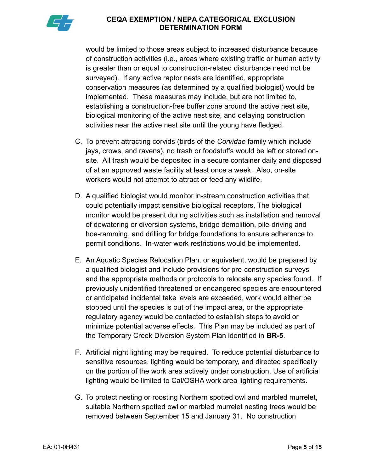

 would be limited to those areas subject to increased disturbance because of construction activities (i.e., areas where existing traffic or human activity is greater than or equal to construction-related disturbance need not be surveyed). If any active raptor nests are identified, appropriate conservation measures (as determined by a qualified biologist) would be implemented. These measures may include, but are not limited to, establishing a construction-free buffer zone around the active nest site, biological monitoring of the active nest site, and delaying construction activities near the active nest site until the young have fledged.

- C. To prevent attracting corvids (birds of the Corvidae family which include jays, crows, and ravens), no trash or foodstuffs would be left or stored on- site. All trash would be deposited in a secure container daily and disposed of at an approved waste facility at least once a week. Also, on-site workers would not attempt to attract or feed any wildlife.
- D. A qualified biologist would monitor in-stream construction activities that could potentially impact sensitive biological receptors. The biological monitor would be present during activities such as installation and removal of dewatering or diversion systems, bridge demolition, pile-driving and hoe-ramming, and drilling for bridge foundations to ensure adherence to permit conditions. In-water work restrictions would be implemented.
- E. An Aquatic Species Relocation Plan, or equivalent, would be prepared by a qualified biologist and include provisions for pre-construction surveys and the appropriate methods or protocols to relocate any species found. If previously unidentified threatened or endangered species are encountered or anticipated incidental take levels are exceeded, work would either be stopped until the species is out of the impact area, or the appropriate regulatory agency would be contacted to establish steps to avoid or minimize potential adverse effects. This Plan may be included as part of the Temporary Creek Diversion System Plan identified in **BR-5**.
- F. Artificial night lighting may be required. To reduce potential disturbance to sensitive resources, lighting would be temporary, and directed specifically on the portion of the work area actively under construction. Use of artificial lighting would be limited to Cal/OSHA work area lighting requirements.
- G. To protect nesting or roosting Northern spotted owl and marbled murrelet, suitable Northern spotted owl or marbled murrelet nesting trees would be removed between September 15 and January 31. No construction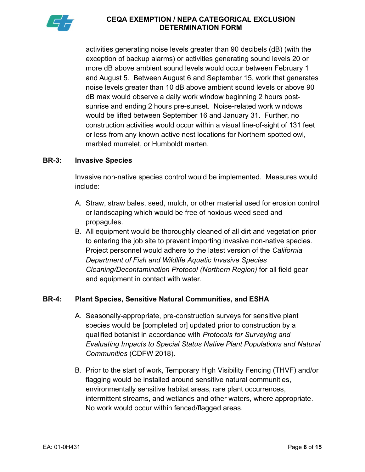

 activities generating noise levels greater than 90 decibels (dB) (with the exception of backup alarms) or activities generating sound levels 20 or more dB above ambient sound levels would occur between February 1 and August 5. Between August 6 and September 15, work that generates noise levels greater than 10 dB above ambient sound levels or above 90 dB max would observe a daily work window beginning 2 hours post- sunrise and ending 2 hours pre-sunset. Noise-related work windows would be lifted between September 16 and January 31. Further, no construction activities would occur within a visual line-of-sight of 131 feet or less from any known active nest locations for Northern spotted owl, marbled murrelet, or Humboldt marten.

#### BR-3: Invasive Species

 Invasive non-native species control would be implemented. Measures would include:

- A. Straw, straw bales, seed, mulch, or other material used for erosion control or landscaping which would be free of noxious weed seed and propagules.
- to entering the job site to prevent importing invasive non-native species. Project personnel would adhere to the latest version of the California Department of Fish and Wildlife Aquatic Invasive Species Cleaning/Decontamination Protocol (Northern Region) for all field gear and equipment in contact with water. B. All equipment would be thoroughly cleaned of all dirt and vegetation prior

#### **BR-4:** Plant Species, Sensitive Natural Communities, and ESHA

- A. Seasonally-appropriate, pre-construction surveys for sensitive plant species would be [completed or] updated prior to construction by a qualified botanist in accordance with Protocols for Surveying and Evaluating Impacts to Special Status Native Plant Populations and Natural Communities (CDFW 2018).
- B. Prior to the start of work, Temporary High Visibility Fencing (THVF) and/or flagging would be installed around sensitive natural communities, environmentally sensitive habitat areas, rare plant occurrences, intermittent streams, and wetlands and other waters, where appropriate. No work would occur within fenced/flagged areas.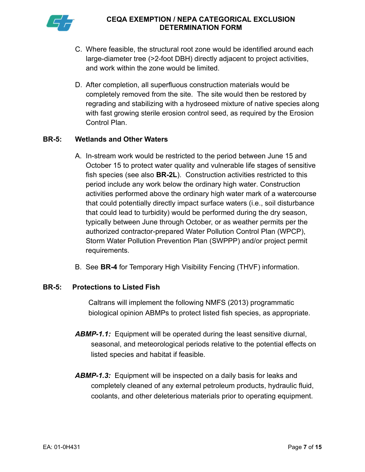

- C. Where feasible, the structural root zone would be identified around each large-diameter tree (>2-foot DBH) directly adjacent to project activities, and work within the zone would be limited.
- D. After completion, all superfluous construction materials would be completely removed from the site. The site would then be restored by regrading and stabilizing with a hydroseed mixture of native species along with fast growing sterile erosion control seed, as required by the Erosion Control Plan.

#### BR-5: Wetlands and Other Waters

- A. In-stream work would be restricted to the period between June 15 and October 15 to protect water quality and vulnerable life stages of sensitive fish species (see also **BR-2L**). Construction activities restricted to this period include any work below the ordinary high water. Construction activities performed above the ordinary high water mark of a watercourse that could potentially directly impact surface waters (i.e., soil disturbance that could lead to turbidity) would be performed during the dry season, typically between June through October, or as weather permits per the authorized contractor-prepared Water Pollution Control Plan (WPCP), Storm Water Pollution Prevention Plan (SWPPP) and/or project permit requirements.
- B. See BR-4 for Temporary High Visibility Fencing (THVF) information.

#### BR-5: Protections to Listed Fish

 Caltrans will implement the following NMFS (2013) programmatic biological opinion ABMPs to protect listed fish species, as appropriate.

- ABMP-1.1: Equipment will be operated during the least sensitive diurnal, seasonal, and meteorological periods relative to the potential effects on listed species and habitat if feasible.
- ABMP-1.3: Equipment will be inspected on a daily basis for leaks and completely cleaned of any external petroleum products, hydraulic fluid, coolants, and other deleterious materials prior to operating equipment.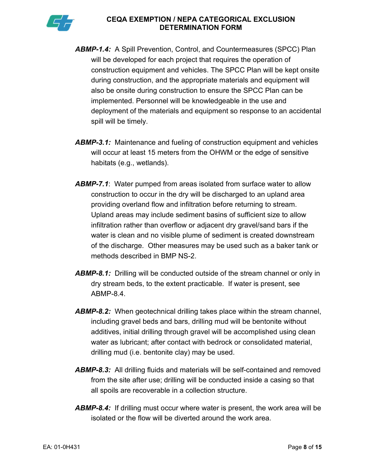

- ABMP-1.4: A Spill Prevention, Control, and Countermeasures (SPCC) Plan will be developed for each project that requires the operation of construction equipment and vehicles. The SPCC Plan will be kept onsite during construction, and the appropriate materials and equipment will also be onsite during construction to ensure the SPCC Plan can be implemented. Personnel will be knowledgeable in the use and deployment of the materials and equipment so response to an accidental spill will be timely.
- ABMP-3.1: Maintenance and fueling of construction equipment and vehicles will occur at least 15 meters from the OHWM or the edge of sensitive habitats (e.g., wetlands).
- **ABMP-7.1:** Water pumped from areas isolated from surface water to allow construction to occur in the dry will be discharged to an upland area providing overland flow and infiltration before returning to stream. Upland areas may include sediment basins of sufficient size to allow infiltration rather than overflow or adjacent dry gravel/sand bars if the water is clean and no visible plume of sediment is created downstream of the discharge. Other measures may be used such as a baker tank or methods described in BMP NS-2.
- ABMP-8.1: Drilling will be conducted outside of the stream channel or only in dry stream beds, to the extent practicable. If water is present, see ABMP-8.4.
- ABMP-8.2: When geotechnical drilling takes place within the stream channel, including gravel beds and bars, drilling mud will be bentonite without additives, initial drilling through gravel will be accomplished using clean water as lubricant; after contact with bedrock or consolidated material, drilling mud (i.e. bentonite clay) may be used.
- ABMP-8.3: All drilling fluids and materials will be self-contained and removed from the site after use; drilling will be conducted inside a casing so that all spoils are recoverable in a collection structure.
- ABMP-8.4: If drilling must occur where water is present, the work area will be isolated or the flow will be diverted around the work area.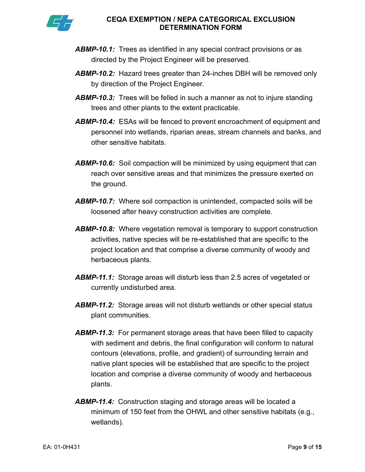

- ABMP-10.1: Trees as identified in any special contract provisions or as directed by the Project Engineer will be preserved.
- ABMP-10.2: Hazard trees greater than 24-inches DBH will be removed only by direction of the Project Engineer.
- ABMP-10.3: Trees will be felled in such a manner as not to injure standing trees and other plants to the extent practicable.
- ABMP-10.4: ESAs will be fenced to prevent encroachment of equipment and personnel into wetlands, riparian areas, stream channels and banks, and other sensitive habitats.
- ABMP-10.6: Soil compaction will be minimized by using equipment that can reach over sensitive areas and that minimizes the pressure exerted on the ground.
- ABMP-10.7: Where soil compaction is unintended, compacted soils will be loosened after heavy construction activities are complete.
- ABMP-10.8: Where vegetation removal is temporary to support construction activities, native species will be re-established that are specific to the project location and that comprise a diverse community of woody and herbaceous plants.
- ABMP-11.1: Storage areas will disturb less than 2.5 acres of vegetated or currently undisturbed area.
- ABMP-11.2: Storage areas will not disturb wetlands or other special status plant communities.
- ABMP-11.3: For permanent storage areas that have been filled to capacity with sediment and debris, the final configuration will conform to natural contours (elevations, profile, and gradient) of surrounding terrain and native plant species will be established that are specific to the project location and comprise a diverse community of woody and herbaceous plants.
- ABMP-11.4: Construction staging and storage areas will be located a minimum of 150 feet from the OHWL and other sensitive habitats (e.g., wetlands).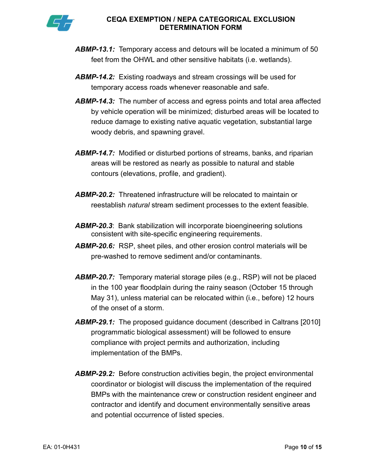

- ABMP-13.1: Temporary access and detours will be located a minimum of 50 feet from the OHWL and other sensitive habitats (i.e. wetlands).
- ABMP-14.2: Existing roadways and stream crossings will be used for temporary access roads whenever reasonable and safe.
- ABMP-14.3: The number of access and egress points and total area affected by vehicle operation will be minimized; disturbed areas will be located to reduce damage to existing native aquatic vegetation, substantial large woody debris, and spawning gravel.
- ABMP-14.7: Modified or disturbed portions of streams, banks, and riparian areas will be restored as nearly as possible to natural and stable contours (elevations, profile, and gradient).
- ABMP-20.2: Threatened infrastructure will be relocated to maintain or reestablish natural stream sediment processes to the extent feasible.
- ABMP-20.3: Bank stabilization will incorporate bioengineering solutions consistent with site-specific engineering requirements.
- ABMP-20.6: RSP, sheet piles, and other erosion control materials will be pre-washed to remove sediment and/or contaminants.
- ABMP-20.7: Temporary material storage piles (e.g., RSP) will not be placed in the 100 year floodplain during the rainy season (October 15 through May 31), unless material can be relocated within (i.e., before) 12 hours of the onset of a storm.
- ABMP-29.1: The proposed guidance document (described in Caltrans [2010] programmatic biological assessment) will be followed to ensure compliance with project permits and authorization, including implementation of the BMPs.
- ABMP-29.2: Before construction activities begin, the project environmental coordinator or biologist will discuss the implementation of the required BMPs with the maintenance crew or construction resident engineer and contractor and identify and document environmentally sensitive areas and potential occurrence of listed species.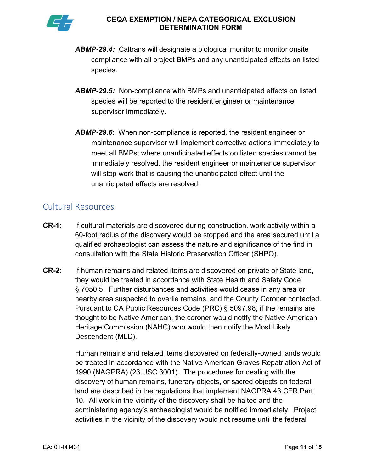

- ABMP-29.4: Caltrans will designate a biological monitor to monitor onsite compliance with all project BMPs and any unanticipated effects on listed species.
- ABMP-29.5: Non-compliance with BMPs and unanticipated effects on listed species will be reported to the resident engineer or maintenance supervisor immediately.
- ABMP-29.6: When non-compliance is reported, the resident engineer or maintenance supervisor will implement corrective actions immediately to meet all BMPs; where unanticipated effects on listed species cannot be immediately resolved, the resident engineer or maintenance supervisor will stop work that is causing the unanticipated effect until the unanticipated effects are resolved.

# Cultural Resources

- **CR-1:** If cultural materials are discovered during construction, work activity within a 60-foot radius of the discovery would be stopped and the area secured until a qualified archaeologist can assess the nature and significance of the find in consultation with the State Historic Preservation Officer (SHPO).
- **CR-2:**  they would be treated in accordance with State Health and Safety Code § 7050.5. Further disturbances and activities would cease in any area or nearby area suspected to overlie remains, and the County Coroner contacted. Pursuant to CA Public Resources Code (PRC) § 5097.98, if the remains are thought to be Native American, the coroner would notify the Native American Heritage Commission (NAHC) who would then notify the Most Likely Descendent (MLD). If human remains and related items are discovered on private or State land,

 Human remains and related items discovered on federally-owned lands would be treated in accordance with the Native American Graves Repatriation Act of 1990 (NAGPRA) (23 USC 3001). The procedures for dealing with the discovery of human remains, funerary objects, or sacred objects on federal land are described in the regulations that implement NAGPRA 43 CFR Part 10. All work in the vicinity of the discovery shall be halted and the administering agency's archaeologist would be notified immediately. Project activities in the vicinity of the discovery would not resume until the federal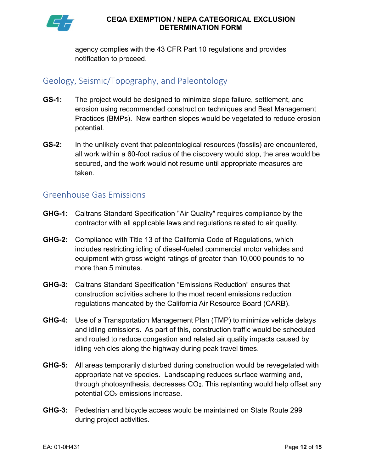

 agency complies with the 43 CFR Part 10 regulations and provides notification to proceed.

# Geology, Seismic/Topography, and Paleontology

- GS-1: The project would be designed to minimize slope failure, settlement, and erosion using recommended construction techniques and Best Management Practices (BMPs). New earthen slopes would be vegetated to reduce erosion potential.
- $GS-2$ : all work within a 60-foot radius of the discovery would stop, the area would be secured, and the work would not resume until appropriate measures are In the unlikely event that paleontological resources (fossils) are encountered, taken.

## Greenhouse Gas Emissions

- **GHG-1:** Caltrans Standard Specification "Air Quality" requires compliance by the contractor with all applicable laws and regulations related to air quality.
- **GHG-2:** Compliance with Title 13 of the California Code of Regulations, which includes restricting idling of diesel-fueled commercial motor vehicles and equipment with gross weight ratings of greater than 10,000 pounds to no more than 5 minutes.
- GHG-3: Caltrans Standard Specification "Emissions Reduction" ensures that construction activities adhere to the most recent emissions reduction regulations mandated by the California Air Resource Board (CARB).
- GHG-4: Use of a Transportation Management Plan (TMP) to minimize vehicle delays and idling emissions. As part of this, construction traffic would be scheduled and routed to reduce congestion and related air quality impacts caused by idling vehicles along the highway during peak travel times.
- GHG-5: All areas temporarily disturbed during construction would be revegetated with appropriate native species. Landscaping reduces surface warming and, through photosynthesis, decreases CO<sub>2</sub>. This replanting would help offset any potential CO2 emissions increase.
- GHG-3: Pedestrian and bicycle access would be maintained on State Route 299 during project activities.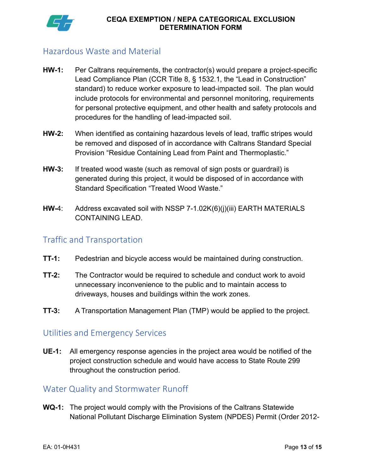

# Hazardous Waste and Material

- HW-1: Per Caltrans requirements, the contractor(s) would prepare a project-specific Lead Compliance Plan (CCR Title 8, § 1532.1, the "Lead in Construction" standard) to reduce worker exposure to lead-impacted soil. The plan would include protocols for environmental and personnel monitoring, requirements for personal protective equipment, and other health and safety protocols and procedures for the handling of lead-impacted soil.
- HW-2: When identified as containing hazardous levels of lead, traffic stripes would be removed and disposed of in accordance with Caltrans Standard Special Provision "Residue Containing Lead from Paint and Thermoplastic."
- HW-3: If treated wood waste (such as removal of sign posts or guardrail) is generated during this project, it would be disposed of in accordance with Standard Specification "Treated Wood Waste."
- HW-4: Address excavated soil with NSSP 7-1.02K(6)(j)(iii) EARTH MATERIALS CONTAINING LEAD.

# Traffic and Transportation

- **TT-1:** Pedestrian and bicycle access would be maintained during construction.
- **TT-2:** The Contractor would be required to schedule and conduct work to avoid unnecessary inconvenience to the public and to maintain access to driveways, houses and buildings within the work zones.
- **TT-3:** A Transportation Management Plan (TMP) would be applied to the project.

# Utilities and Emergency Services

UE-1: All emergency response agencies in the project area would be notified of the project construction schedule and would have access to State Route 299 throughout the construction period.

# Water Quality and Stormwater Runoff

WQ-1: The project would comply with the Provisions of the Caltrans Statewide National Pollutant Discharge Elimination System (NPDES) Permit (Order 2012-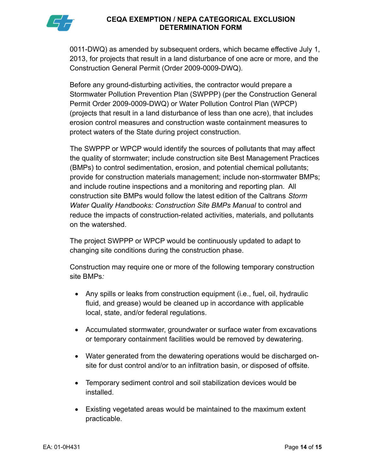0011-DWQ) as amended by subsequent orders, which became effective July 1, 2013, for projects that result in a land disturbance of one acre or more, and the Construction General Permit (Order 2009-0009-DWQ).

 Before any ground-disturbing activities, the contractor would prepare a Stormwater Pollution Prevention Plan (SWPPP) (per the Construction General Permit Order 2009-0009-DWQ) or Water Pollution Control Plan (WPCP) (projects that result in a land disturbance of less than one acre), that includes erosion control measures and construction waste containment measures to protect waters of the State during project construction.

 The SWPPP or WPCP would identify the sources of pollutants that may affect the quality of stormwater; include construction site Best Management Practices (BMPs) to control sedimentation, erosion, and potential chemical pollutants; provide for construction materials management; include non-stormwater BMPs; and include routine inspections and a monitoring and reporting plan. All construction site BMPs would follow the latest edition of the Caltrans Storm Water Quality Handbooks: Construction Site BMPs Manual to control and reduce the impacts of construction-related activities, materials, and pollutants on the watershed.

 The project SWPPP or WPCP would be continuously updated to adapt to changing site conditions during the construction phase.

 Construction may require one or more of the following temporary construction site BMPs:

- $\bullet$  fluid, and grease) would be cleaned up in accordance with applicable local, state, and/or federal regulations. Any spills or leaks from construction equipment (i.e., fuel, oil, hydraulic
- Accumulated stormwater, groundwater or surface water from excavations or temporary containment facilities would be removed by dewatering.
- Water generated from the dewatering operations would be discharged on-site for dust control and/or to an infiltration basin, or disposed of offsite.
- Temporary sediment control and soil stabilization devices would be installed.
- Existing vegetated areas would be maintained to the maximum extent practicable.